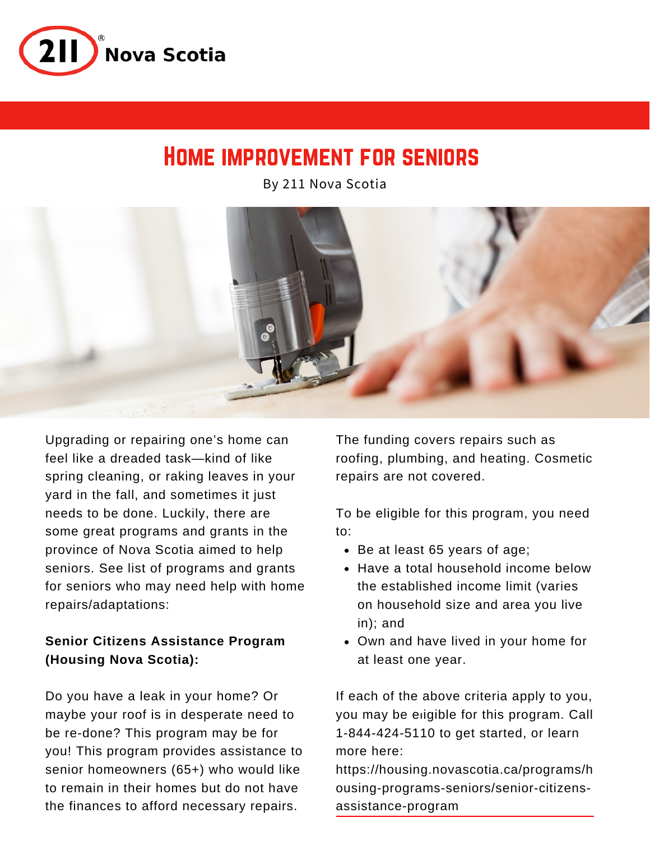

# Home improvement for seniors

By 211 Nova Scotia



Upgrading or repairing one's home can feel like a dreaded task—kind of like spring cleaning, or raking leaves in your yard in the fall, and sometimes it just needs to be done. Luckily, there are some great programs and grants in the province of Nova Scotia aimed to help seniors. See list of programs and grants for seniors who may need help with home repairs/adaptations:

## **Senior Citizens Assistance Program (Housing Nova Scotia):**

Do you have a leak in your home? Or maybe your roof is in desperate need to be re-done? This program may be for you! This program provides assistance to senior homeowners (65+) who would like to remain in their homes but do not have the finances to afford necessary repairs.

The funding covers repairs such as roofing, plumbing, and heating. Cosmetic repairs are not covered.

To be eligible for this program, you need to:

- Be at least 65 years of age;
- Have a total household income below the established income limit (varies on household size and area you live in); and
- Own and have lived in your home for at least one year.

If each of the above criteria apply to you, you may be [el](https://housing.novascotia.ca/programs/h ousing-programs-seniors/senior-citizens-assistance-program)igible for this program. Call 1-844-424-5110 to get started, or learn more here:

https://housing.novascotia.ca/programs/h [ousing-programs-seniors/senior-citizens](https://housing.novascotia.ca/programs/h ousing-programs-seniors/senior-citizens-assistance-program)assistance-program